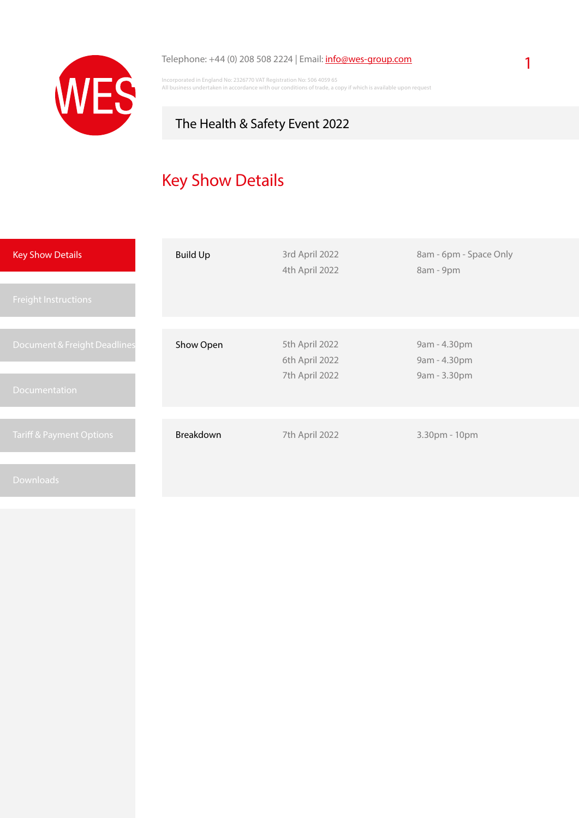

#### Telephone: +44 (0) 208 508 2224 | Email: [info@wes-group.com](mailto:info%40wes-group.com?subject=The%20Health%20%26%20Safety%20Event%202022%20-%20Logistic%20Services)

Incorporated in England No: 2326770 VAT Registration No: 506 4059 65 All business undertaken in accordance with our conditions of trade, a copy if which is available upon request

### The Health & Safety Event 2022

# Key Show Details

| <b>Key Show Details</b>             | <b>Build Up</b> | 3rd April 2022<br>4th April 2022                   | 8am - 6pm - Space Only<br>8am - 9pm          |
|-------------------------------------|-----------------|----------------------------------------------------|----------------------------------------------|
| <b>Freight Instructions</b>         |                 |                                                    |                                              |
| Document & Freight Deadlines        | Show Open       | 5th April 2022<br>6th April 2022<br>7th April 2022 | 9am - 4.30pm<br>9am - 4.30pm<br>9am - 3.30pm |
| <b>Documentation</b>                |                 |                                                    |                                              |
| <b>Tariff &amp; Payment Options</b> | Breakdown       | 7th April 2022                                     | 3.30pm - 10pm                                |
| <b>Downloads</b>                    |                 |                                                    |                                              |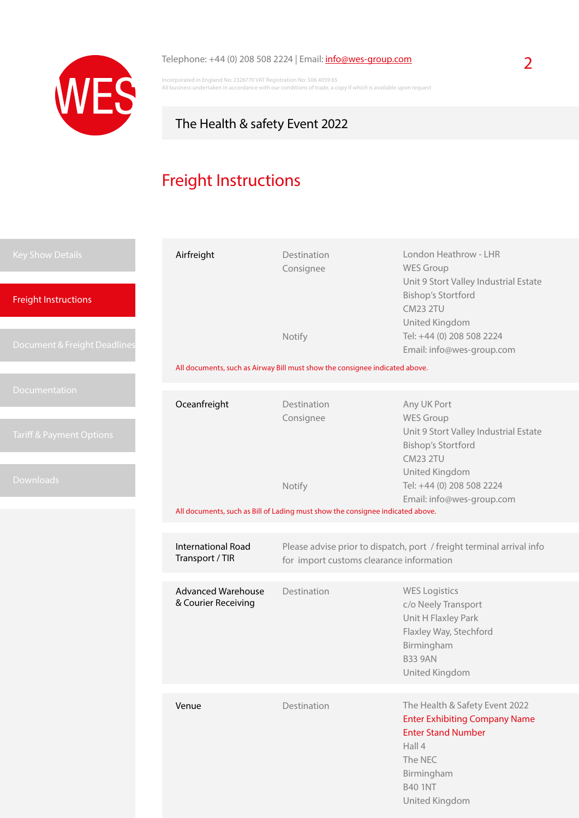

## Telephone: +44 (0) 208 508 2224 | Email: **[info@wes-group.com](mailto:info%40wes-group.com?subject=The%20Health%20%26%20safety%20Event%202022%20-%20Logistic%20Services)** 2

Incorporated in England No: 2326770 VAT Registration No: 506 4059 65 All business undertaken in accordance with our conditions of trade, a copy if which is available upon request

### The Health & safety Event 2022

# Freight Instructions

| <b>Key Show Details</b><br><b>Freight Instructions</b> | Airfreight                                       | Destination<br>Consignee                                                                                          | London Heathrow - LHR<br><b>WES Group</b><br>Unit 9 Stort Valley Industrial Estate<br><b>Bishop's Stortford</b><br><b>CM23 2TU</b>                                         |  |
|--------------------------------------------------------|--------------------------------------------------|-------------------------------------------------------------------------------------------------------------------|----------------------------------------------------------------------------------------------------------------------------------------------------------------------------|--|
| Document & Freight Deadlines                           |                                                  | Notify<br>All documents, such as Airway Bill must show the consignee indicated above.                             | United Kingdom<br>Tel: +44 (0) 208 508 2224<br>Email: info@wes-group.com                                                                                                   |  |
|                                                        |                                                  |                                                                                                                   |                                                                                                                                                                            |  |
| Documentation<br><b>Tariff &amp; Payment Options</b>   | Oceanfreight                                     | Destination<br>Consignee                                                                                          | Any UK Port<br><b>WES Group</b><br>Unit 9 Stort Valley Industrial Estate<br><b>Bishop's Stortford</b><br><b>CM23 2TU</b><br>United Kingdom                                 |  |
| Downloads                                              |                                                  | Notify<br>All documents, such as Bill of Lading must show the consignee indicated above.                          | Tel: +44 (0) 208 508 2224<br>Email: info@wes-group.com                                                                                                                     |  |
|                                                        |                                                  |                                                                                                                   |                                                                                                                                                                            |  |
|                                                        | <b>International Road</b><br>Transport / TIR     | Please advise prior to dispatch, port / freight terminal arrival info<br>for import customs clearance information |                                                                                                                                                                            |  |
|                                                        | <b>Advanced Warehouse</b><br>& Courier Receiving | Destination                                                                                                       | <b>WES Logistics</b><br>c/o Neely Transport<br>Unit H Flaxley Park<br>Flaxley Way, Stechford<br>Birmingham<br><b>B33 9AN</b><br>United Kingdom                             |  |
|                                                        |                                                  |                                                                                                                   |                                                                                                                                                                            |  |
|                                                        | Venue                                            | Destination                                                                                                       | The Health & Safety Event 2022<br><b>Enter Exhibiting Company Name</b><br><b>Enter Stand Number</b><br>Hall 4<br>The NEC<br>Birmingham<br><b>B40 1NT</b><br>United Kingdom |  |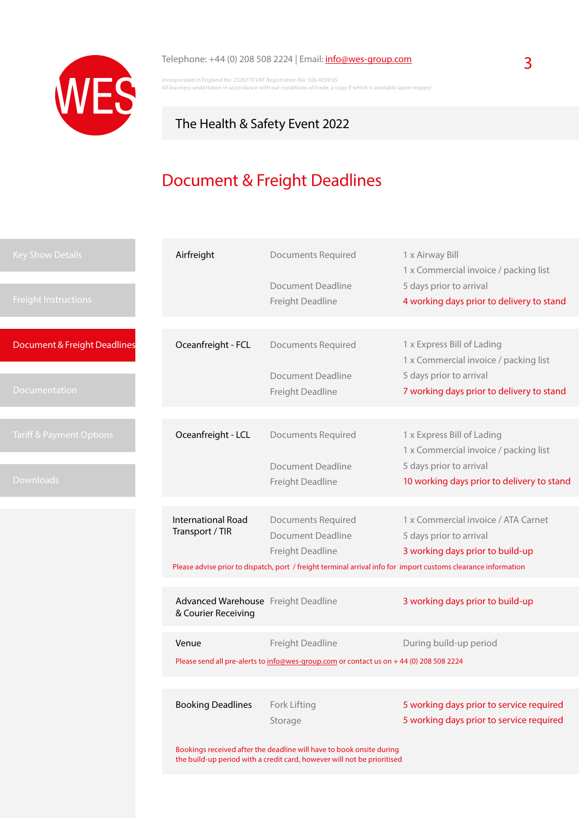

Incorporated in England No: 2326770 VAT Registration No: 506 4059 65 All business undertaken in accordance with our conditions of trade, a copy if which is available upon request

## The Health & Safety Event 2022

# Document & Freight Deadlines

| <b>Key Show Details</b>             | Airfreight                                                 | <b>Documents Required</b>                                                                                      | 1 x Airway Bill<br>1 x Commercial invoice / packing list            |
|-------------------------------------|------------------------------------------------------------|----------------------------------------------------------------------------------------------------------------|---------------------------------------------------------------------|
|                                     |                                                            | <b>Document Deadline</b>                                                                                       | 5 days prior to arrival                                             |
| <b>Freight Instructions</b>         |                                                            | Freight Deadline                                                                                               | 4 working days prior to delivery to stand                           |
|                                     |                                                            |                                                                                                                |                                                                     |
| Document & Freight Deadlines        | Oceanfreight - FCL                                         | <b>Documents Required</b>                                                                                      | 1 x Express Bill of Lading                                          |
|                                     |                                                            | <b>Document Deadline</b>                                                                                       | 1 x Commercial invoice / packing list<br>5 days prior to arrival    |
| <b>Documentation</b>                |                                                            | Freight Deadline                                                                                               | 7 working days prior to delivery to stand                           |
|                                     |                                                            |                                                                                                                |                                                                     |
|                                     |                                                            |                                                                                                                |                                                                     |
| <b>Tariff &amp; Payment Options</b> | Oceanfreight - LCL                                         | <b>Documents Required</b>                                                                                      | 1 x Express Bill of Lading<br>1 x Commercial invoice / packing list |
|                                     |                                                            | <b>Document Deadline</b>                                                                                       | 5 days prior to arrival                                             |
| <b>Downloads</b>                    |                                                            | Freight Deadline                                                                                               | 10 working days prior to delivery to stand                          |
|                                     |                                                            |                                                                                                                |                                                                     |
|                                     | <b>International Road</b>                                  | <b>Documents Required</b>                                                                                      | 1 x Commercial invoice / ATA Carnet                                 |
|                                     | Transport / TIR                                            | Document Deadline                                                                                              | 5 days prior to arrival                                             |
|                                     |                                                            | Freight Deadline                                                                                               | 3 working days prior to build-up                                    |
|                                     |                                                            | Please advise prior to dispatch, port / freight terminal arrival info for import customs clearance information |                                                                     |
|                                     |                                                            |                                                                                                                |                                                                     |
|                                     | Advanced Warehouse Freight Deadline<br>& Courier Receiving |                                                                                                                | 3 working days prior to build-up                                    |
|                                     | Venue                                                      | Freight Deadline                                                                                               | During build-up period                                              |
|                                     |                                                            | Please send all pre-alerts to info@wes-group.com or contact us on +44 (0) 208 508 2224                         |                                                                     |
|                                     |                                                            |                                                                                                                |                                                                     |
|                                     |                                                            |                                                                                                                |                                                                     |
|                                     | <b>Booking Deadlines</b>                                   | Fork Lifting                                                                                                   | 5 working days prior to service required                            |
|                                     |                                                            | Storage                                                                                                        | 5 working days prior to service required                            |
|                                     |                                                            | Bookings received after the deadline will have to book onsite during                                           |                                                                     |
|                                     |                                                            | the build-up period with a credit card, however will not be prioritised                                        |                                                                     |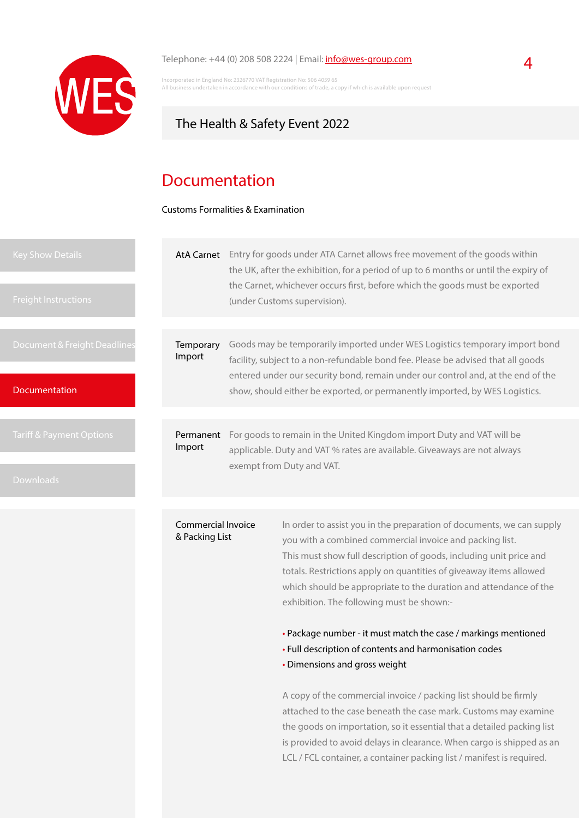

#### Telephone:  $+44$  (0) 208 508 2224 | Email:  $info@wes-group.com$  $info@wes-group.com$  $info@wes-group.com$ </u>

Incorporated in England No: 2326770 VAT Registration No: 506 4059 65 s undertaken in accordance with our conditions of trade, a copy if which is available upon request

### The Health & Safety Event 2022

### Documentation

Customs Formalities & Examination

| Key Show Details<br><b>Freight Instructions</b> | AtA Carnet                           |                                                                                                                                                   | Entry for goods under ATA Carnet allows free movement of the goods within<br>the UK, after the exhibition, for a period of up to 6 months or until the expiry of<br>the Carnet, whichever occurs first, before which the goods must be exported<br>(under Customs supervision). |
|-------------------------------------------------|--------------------------------------|---------------------------------------------------------------------------------------------------------------------------------------------------|---------------------------------------------------------------------------------------------------------------------------------------------------------------------------------------------------------------------------------------------------------------------------------|
|                                                 |                                      |                                                                                                                                                   |                                                                                                                                                                                                                                                                                 |
| Document & Freight Deadlines                    | Temporary<br>Import                  |                                                                                                                                                   | Goods may be temporarily imported under WES Logistics temporary import bond<br>facility, subject to a non-refundable bond fee. Please be advised that all goods<br>entered under our security bond, remain under our control and, at the end of the                             |
| <b>Documentation</b>                            |                                      |                                                                                                                                                   | show, should either be exported, or permanently imported, by WES Logistics.                                                                                                                                                                                                     |
|                                                 |                                      |                                                                                                                                                   |                                                                                                                                                                                                                                                                                 |
| Tariff & Payment Options                        | Permanent<br>Import                  | For goods to remain in the United Kingdom import Duty and VAT will be<br>applicable. Duty and VAT % rates are available. Giveaways are not always |                                                                                                                                                                                                                                                                                 |
| <b>Downloads</b>                                |                                      |                                                                                                                                                   | exempt from Duty and VAT.                                                                                                                                                                                                                                                       |
|                                                 |                                      |                                                                                                                                                   |                                                                                                                                                                                                                                                                                 |
|                                                 | Commercial Invoice<br>& Packing List |                                                                                                                                                   | In order to assist you in the preparation of documents, we can supply<br>you with a combined commercial invoice and packing list.<br>This must show full description of goods including unit price and                                                                          |

This must show full description of goods, including unit price and totals. Restrictions apply on quantities of giveaway items allowed which should be appropriate to the duration and attendance of the exhibition. The following must be shown:-

• Package number - it must match the case / markings mentioned

- Full description of contents and harmonisation codes
- Dimensions and gross weight

A copy of the commercial invoice / packing list should be firmly attached to the case beneath the case mark. Customs may examine the goods on importation, so it essential that a detailed packing list is provided to avoid delays in clearance. When cargo is shipped as an LCL / FCL container, a container packing list / manifest is required.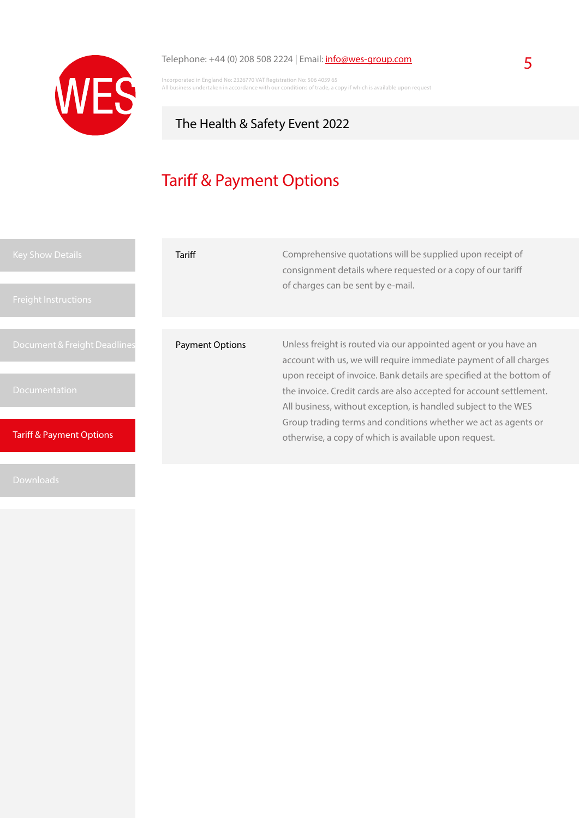

### Telephone: +44 (0) 208 508 2224 | Email:  $\frac{info@wes-group.com}{}$  $\frac{info@wes-group.com}{}$  $\frac{info@wes-group.com}{}$  5

Incorporated in England No: 2326770 VAT Registration No: 506 4059 65 All business undertaken in accordance with our conditions of trade, a copy if which is available upon request

### The Health & Safety Event 2022

# Tariff & Payment Options

| <b>Key Show Details</b><br><b>Freight Instructions</b> | Tariff                 | Comprehensive quotations will be supplied upon receipt of<br>consignment details where requested or a copy of our tariff<br>of charges can be sent by e-mail.                                                                                                                      |  |
|--------------------------------------------------------|------------------------|------------------------------------------------------------------------------------------------------------------------------------------------------------------------------------------------------------------------------------------------------------------------------------|--|
| Document & Freight Deadlines                           | <b>Payment Options</b> | Unless freight is routed via our appointed agent or you have an                                                                                                                                                                                                                    |  |
| <b>Documentation</b>                                   |                        | account with us, we will require immediate payment of all charges<br>upon receipt of invoice. Bank details are specified at the bottom of<br>the invoice. Credit cards are also accepted for account settlement.<br>All business, without exception, is handled subject to the WES |  |
| <b>Tariff &amp; Payment Options</b>                    |                        | Group trading terms and conditions whether we act as agents or<br>otherwise, a copy of which is available upon request.                                                                                                                                                            |  |